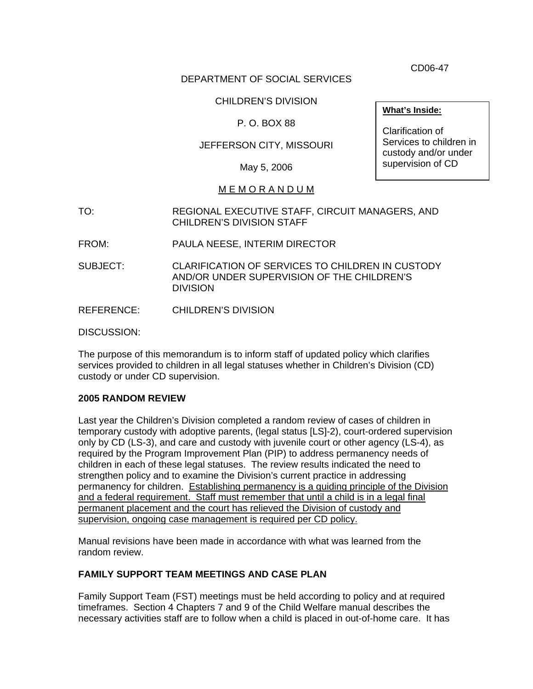CD06-47

## DEPARTMENT OF SOCIAL SERVICES

## CHILDREN'S DIVISION

## P. O. BOX 88

## JEFFERSON CITY, MISSOURI

May 5, 2006

## M E M O R A N D U M

- TO: REGIONAL EXECUTIVE STAFF, CIRCUIT MANAGERS, AND CHILDREN'S DIVISION STAFF
- FROM: PAULA NEESE, INTERIM DIRECTOR
- SUBJECT: CLARIFICATION OF SERVICES TO CHILDREN IN CUSTODY AND/OR UNDER SUPERVISION OF THE CHILDREN'S **DIVISION**
- REFERENCE: CHILDREN'S DIVISION

DISCUSSION:

The purpose of this memorandum is to inform staff of updated policy which clarifies services provided to children in all legal statuses whether in Children's Division (CD) custody or under CD supervision.

#### **2005 RANDOM REVIEW**

Last year the Children's Division completed a random review of cases of children in temporary custody with adoptive parents, (legal status [LS]-2), court-ordered supervision only by CD (LS-3), and care and custody with juvenile court or other agency (LS-4), as required by the Program Improvement Plan (PIP) to address permanency needs of children in each of these legal statuses. The review results indicated the need to strengthen policy and to examine the Division's current practice in addressing permanency for children. Establishing permanency is a guiding principle of the Division and a federal requirement. Staff must remember that until a child is in a legal final permanent placement and the court has relieved the Division of custody and supervision, ongoing case management is required per CD policy.

Manual revisions have been made in accordance with what was learned from the random review.

## **FAMILY SUPPORT TEAM MEETINGS AND CASE PLAN**

Family Support Team (FST) meetings must be held according to policy and at required timeframes. Section 4 Chapters 7 and 9 of the Child Welfare manual describes the necessary activities staff are to follow when a child is placed in out-of-home care. It has

**What's Inside:**

Clarification of Services to children in custody and/or under supervision of CD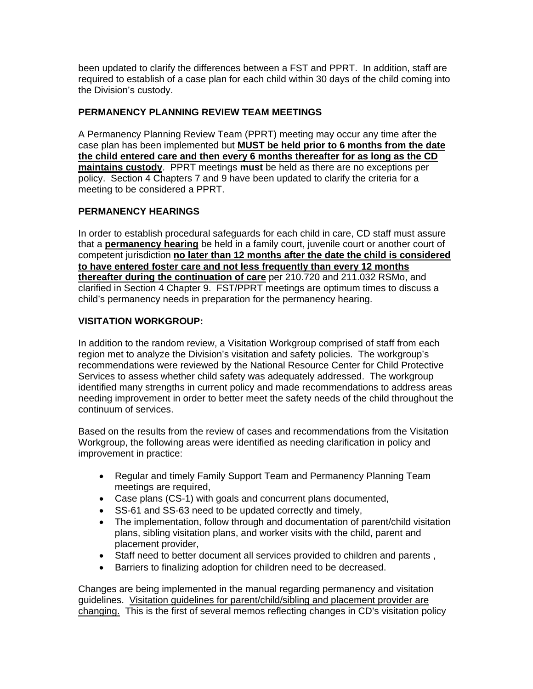been updated to clarify the differences between a FST and PPRT. In addition, staff are required to establish of a case plan for each child within 30 days of the child coming into the Division's custody.

## **PERMANENCY PLANNING REVIEW TEAM MEETINGS**

A Permanency Planning Review Team (PPRT) meeting may occur any time after the case plan has been implemented but **MUST be held prior to 6 months from the date the child entered care and then every 6 months thereafter for as long as the CD maintains custody**. PPRT meetings **must** be held as there are no exceptions per policy. Section 4 Chapters 7 and 9 have been updated to clarify the criteria for a meeting to be considered a PPRT.

#### **PERMANENCY HEARINGS**

In order to establish procedural safeguards for each child in care, CD staff must assure that a **permanency hearing** be held in a family court, juvenile court or another court of competent jurisdiction **no later than 12 months after the date the child is considered to have entered foster care and not less frequently than every 12 months thereafter during the continuation of care** per 210.720 and 211.032 RSMo, and clarified in Section 4 Chapter 9. FST/PPRT meetings are optimum times to discuss a child's permanency needs in preparation for the permanency hearing.

#### **VISITATION WORKGROUP:**

In addition to the random review, a Visitation Workgroup comprised of staff from each region met to analyze the Division's visitation and safety policies. The workgroup's recommendations were reviewed by the National Resource Center for Child Protective Services to assess whether child safety was adequately addressed. The workgroup identified many strengths in current policy and made recommendations to address areas needing improvement in order to better meet the safety needs of the child throughout the continuum of services.

Based on the results from the review of cases and recommendations from the Visitation Workgroup, the following areas were identified as needing clarification in policy and improvement in practice:

- Regular and timely Family Support Team and Permanency Planning Team meetings are required,
- Case plans (CS-1) with goals and concurrent plans documented,
- SS-61 and SS-63 need to be updated correctly and timely,
- The implementation, follow through and documentation of parent/child visitation plans, sibling visitation plans, and worker visits with the child, parent and placement provider,
- Staff need to better document all services provided to children and parents ,
- Barriers to finalizing adoption for children need to be decreased.

Changes are being implemented in the manual regarding permanency and visitation guidelines. Visitation guidelines for parent/child/sibling and placement provider are changing. This is the first of several memos reflecting changes in CD's visitation policy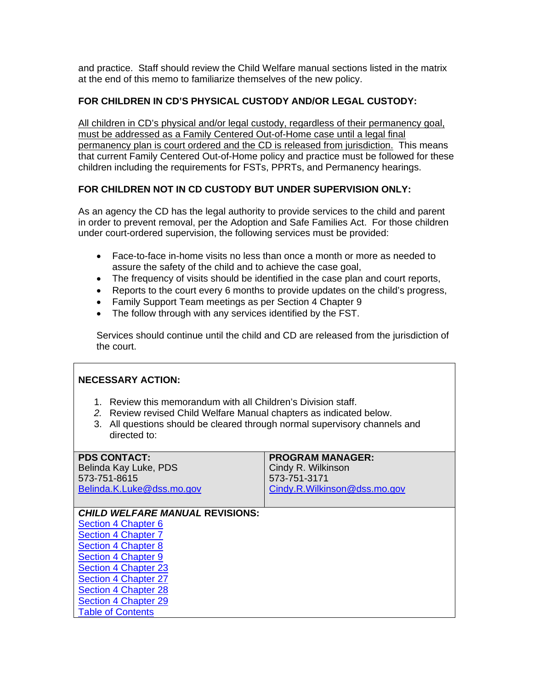and practice. Staff should review the Child Welfare manual sections listed in the matrix at the end of this memo to familiarize themselves of the new policy.

## **FOR CHILDREN IN CD'S PHYSICAL CUSTODY AND/OR LEGAL CUSTODY:**

All children in CD's physical and/or legal custody, regardless of their permanency goal, must be addressed as a Family Centered Out-of-Home case until a legal final permanency plan is court ordered and the CD is released from jurisdiction. This means that current Family Centered Out-of-Home policy and practice must be followed for these children including the requirements for FSTs, PPRTs, and Permanency hearings.

## **FOR CHILDREN NOT IN CD CUSTODY BUT UNDER SUPERVISION ONLY:**

As an agency the CD has the legal authority to provide services to the child and parent in order to prevent removal, per the Adoption and Safe Families Act. For those children under court-ordered supervision, the following services must be provided:

- Face-to-face in-home visits no less than once a month or more as needed to assure the safety of the child and to achieve the case goal,
- The frequency of visits should be identified in the case plan and court reports,
- Reports to the court every 6 months to provide updates on the child's progress,
- Family Support Team meetings as per Section 4 Chapter 9
- The follow through with any services identified by the FST.

Services should continue until the child and CD are released from the jurisdiction of the court.

## **NECESSARY ACTION:**

- 1. Review this memorandum with all Children's Division staff.
- *2.* Review revised Child Welfare Manual chapters as indicated below.
- 3. All questions should be cleared through normal supervisory channels and directed to:

| <b>PDS CONTACT:</b>                    | <b>PROGRAM MANAGER:</b>      |
|----------------------------------------|------------------------------|
| Belinda Kay Luke, PDS                  | Cindy R. Wilkinson           |
| 573-751-8615                           | 573-751-3171                 |
| Belinda.K.Luke@dss.mo.gov              | Cindy.R.Wilkinson@dss.mo.gov |
|                                        |                              |
| <b>CHILD WELFARE MANUAL REVISIONS:</b> |                              |
| Section 4 Chapter 6                    |                              |
| Section 4 Chapter 7                    |                              |

**[Section 4 Chapter 7](http://www.dss.mo.gov/cd/info/cwmanual/section4/ch7/sec4ch7index.htm)** [Section 4 Chapter 8](http://www.dss.mo.gov/cd/info/cwmanual/section4/ch8/sec4ch8index.htm) [Section 4 Chapter 9](http://www.dss.mo.gov/cd/info/cwmanual/section4/ch9/sec4ch9index.htm) [Section 4 Chapter 23](http://www.dss.mo.gov/cd/info/cwmanual/section4/ch23/sec4ch23index.htm) [Section 4 Chapter 27](http://www.dss.mo.gov/cd/info/cwmanual/section4/ch27/sec4ch27index.htm) [Section 4 Chapter 28](http://www.dss.mo.gov/cd/info/cwmanual/section4/ch28/sec4ch28index.htm) [Section 4 Chapter 29](http://www.dss.mo.gov/cd/info/cwmanual/section4/ch29/sec4ch29index.htm) [Table of Contents](http://www.dss.mo.gov/cd/info/cwmanual/index.htm)